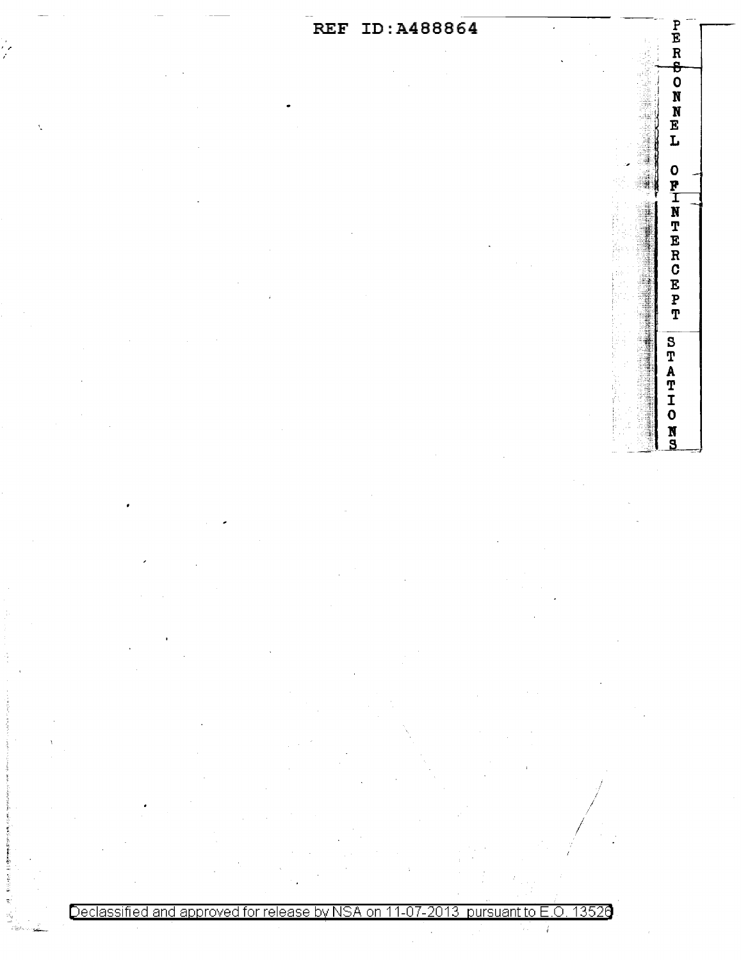